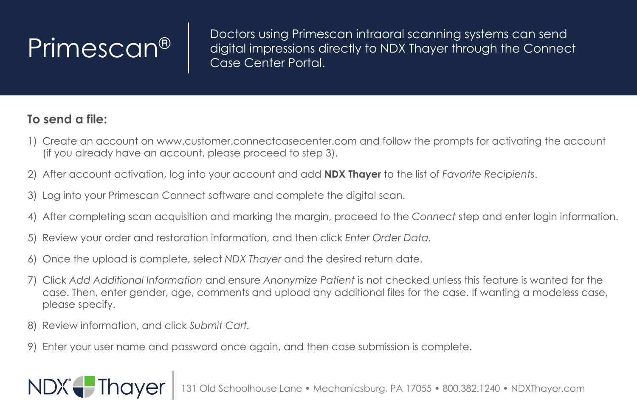$\left\{ \mathsf{Primescan} \right\}$  Doctors using Primescan intraoral scanning systems can send digital impressions directly to NDX Thayer through the Connect Case Containst Partal Case Center Portal.

## **To send a file:**

- 1) Create an account on www.customer.connectcasecenter.com and follow the prompts for activating the account (if you already have an account, please proceed to step 3).
- 2) After account activation, log into your account and add **NDX Thayer** to the list of *Favorite Recipients*.
- 3) Log into your Primescan Connect software and complete the digital scan.
- 4) After completing scan acquisition and marking the margin, proceed to the *Connect* step and enter login information.
- 5) Review your order and restoration information, and then click *Enter Order Data.*
- 6) Once the upload is complete, select *NDX Thayer* and the desired return date.
- 7) Click *Add Additional Information* and ensure *Anonymize Patient* is not checked unless this feature is wanted for the case. Then, enter gender, age, comments and upload any additional files for the case. If wanting a modeless case, please specify.
- 8) Review information, and click *Submit Cart.*

NDX<sup>®</sup> Thayer

9) Enter your user name and password once again, and then case submission is complete.

131 Old Schoolhouse Lane • Mechanicsburg, PA 17055 • 800.382.1240 • NDXThayer.com